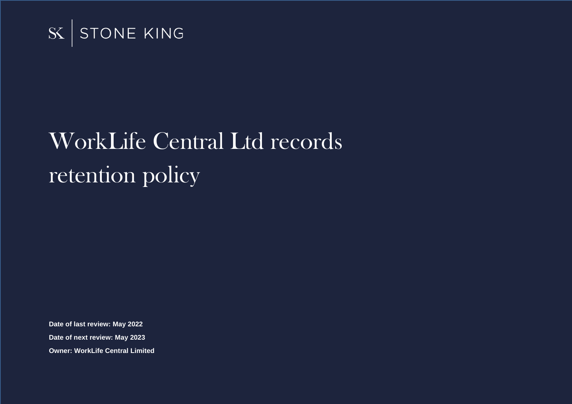

# WorkLife Central Ltd records retention policy

**Date of last review: May 2022 Date of next review: May 2023 Owner: WorkLife Central Limited**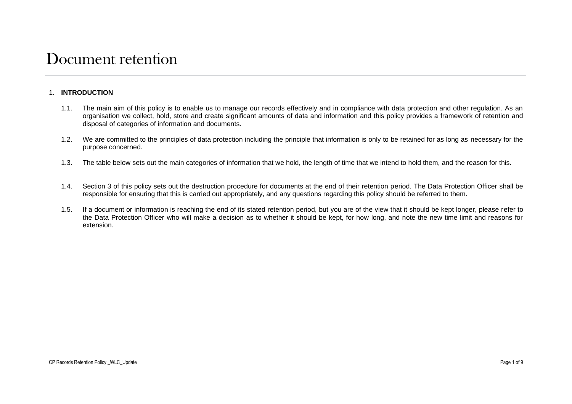# Document retention

### 1. **INTRODUCTION**

- 1.1. The main aim of this policy is to enable us to manage our records effectively and in compliance with data protection and other regulation. As an organisation we collect, hold, store and create significant amounts of data and information and this policy provides a framework of retention and disposal of categories of information and documents.
- 1.2. We are committed to the principles of data protection including the principle that information is only to be retained for as long as necessary for the purpose concerned.
- 1.3. The table below sets out the main categories of information that we hold, the length of time that we intend to hold them, and the reason for this.
- 1.4. Section 3 of this policy sets out the destruction procedure for documents at the end of their retention period. The Data Protection Officer shall be responsible for ensuring that this is carried out appropriately, and any questions regarding this policy should be referred to them.
- 1.5. If a document or information is reaching the end of its stated retention period, but you are of the view that it should be kept longer, please refer to the Data Protection Officer who will make a decision as to whether it should be kept, for how long, and note the new time limit and reasons for extension.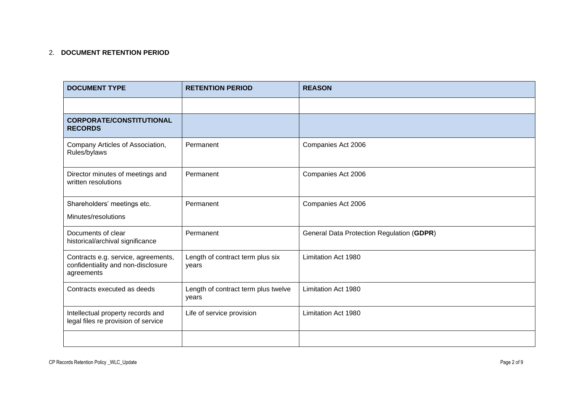# 2. **DOCUMENT RETENTION PERIOD**

| <b>DOCUMENT TYPE</b>                                                                    | <b>RETENTION PERIOD</b>                      | <b>REASON</b>                             |
|-----------------------------------------------------------------------------------------|----------------------------------------------|-------------------------------------------|
|                                                                                         |                                              |                                           |
| <b>CORPORATE/CONSTITUTIONAL</b><br><b>RECORDS</b>                                       |                                              |                                           |
| Company Articles of Association,<br>Rules/bylaws                                        | Permanent                                    | Companies Act 2006                        |
| Director minutes of meetings and<br>written resolutions                                 | Permanent                                    | Companies Act 2006                        |
| Shareholders' meetings etc.                                                             | Permanent                                    | Companies Act 2006                        |
| Minutes/resolutions                                                                     |                                              |                                           |
| Documents of clear<br>historical/archival significance                                  | Permanent                                    | General Data Protection Regulation (GDPR) |
| Contracts e.g. service, agreements,<br>confidentiality and non-disclosure<br>agreements | Length of contract term plus six<br>years    | Limitation Act 1980                       |
| Contracts executed as deeds                                                             | Length of contract term plus twelve<br>years | Limitation Act 1980                       |
| Intellectual property records and<br>legal files re provision of service                | Life of service provision                    | Limitation Act 1980                       |
|                                                                                         |                                              |                                           |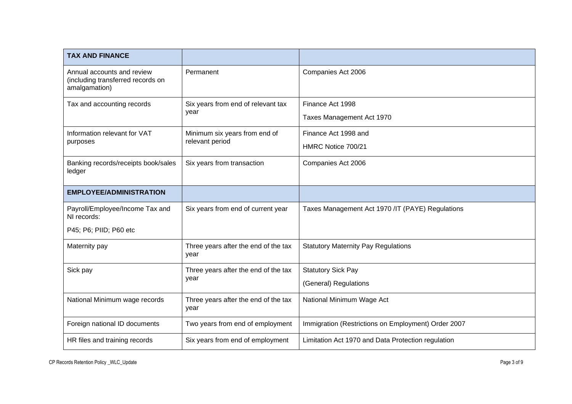| <b>TAX AND FINANCE</b>                                                           |                                                  |                                                     |
|----------------------------------------------------------------------------------|--------------------------------------------------|-----------------------------------------------------|
| Annual accounts and review<br>(including transferred records on<br>amalgamation) | Permanent                                        | Companies Act 2006                                  |
| Tax and accounting records                                                       | Six years from end of relevant tax<br>year       | Finance Act 1998<br>Taxes Management Act 1970       |
| Information relevant for VAT<br>purposes                                         | Minimum six years from end of<br>relevant period | Finance Act 1998 and<br>HMRC Notice 700/21          |
| Banking records/receipts book/sales<br>ledger                                    | Six years from transaction                       | Companies Act 2006                                  |
| <b>EMPLOYEE/ADMINISTRATION</b>                                                   |                                                  |                                                     |
| Payroll/Employee/Income Tax and<br>NI records:                                   | Six years from end of current year               | Taxes Management Act 1970 /IT (PAYE) Regulations    |
| P45; P6; PIID; P60 etc                                                           |                                                  |                                                     |
| Maternity pay                                                                    | Three years after the end of the tax<br>year     | <b>Statutory Maternity Pay Regulations</b>          |
| Sick pay                                                                         | Three years after the end of the tax<br>year     | <b>Statutory Sick Pay</b>                           |
|                                                                                  |                                                  | (General) Regulations                               |
| National Minimum wage records                                                    | Three years after the end of the tax<br>year     | National Minimum Wage Act                           |
| Foreign national ID documents                                                    | Two years from end of employment                 | Immigration (Restrictions on Employment) Order 2007 |
| HR files and training records                                                    | Six years from end of employment                 | Limitation Act 1970 and Data Protection regulation  |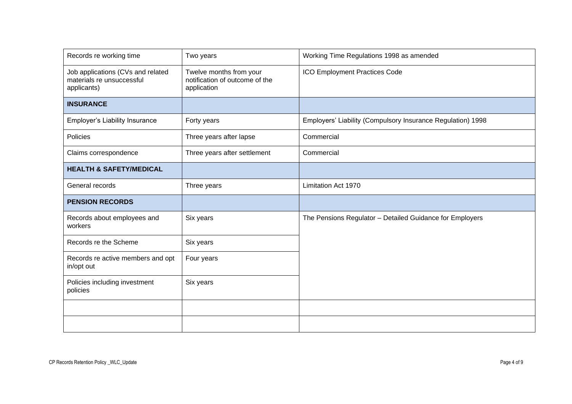| Records re working time                                                       | Two years                                                                | Working Time Regulations 1998 as amended                    |
|-------------------------------------------------------------------------------|--------------------------------------------------------------------------|-------------------------------------------------------------|
| Job applications (CVs and related<br>materials re unsuccessful<br>applicants) | Twelve months from your<br>notification of outcome of the<br>application | ICO Employment Practices Code                               |
| <b>INSURANCE</b>                                                              |                                                                          |                                                             |
| <b>Employer's Liability Insurance</b>                                         | Forty years                                                              | Employers' Liability (Compulsory Insurance Regulation) 1998 |
| <b>Policies</b>                                                               | Three years after lapse                                                  | Commercial                                                  |
| Claims correspondence                                                         | Three years after settlement                                             | Commercial                                                  |
| <b>HEALTH &amp; SAFETY/MEDICAL</b>                                            |                                                                          |                                                             |
| General records                                                               | Three years                                                              | Limitation Act 1970                                         |
| <b>PENSION RECORDS</b>                                                        |                                                                          |                                                             |
| Records about employees and<br>workers                                        | Six years                                                                | The Pensions Regulator - Detailed Guidance for Employers    |
| Records re the Scheme                                                         | Six years                                                                |                                                             |
| Records re active members and opt<br>in/opt out                               | Four years                                                               |                                                             |
| Policies including investment<br>policies                                     | Six years                                                                |                                                             |
|                                                                               |                                                                          |                                                             |
|                                                                               |                                                                          |                                                             |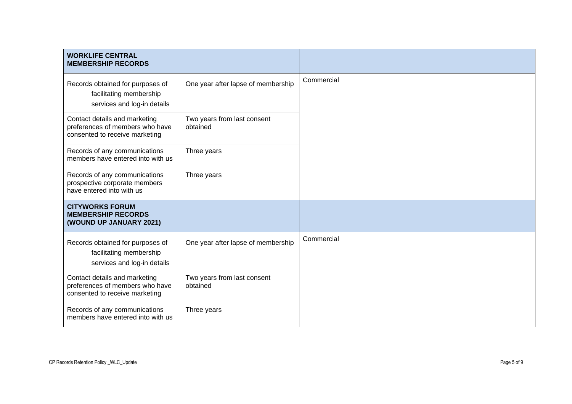| <b>WORKLIFE CENTRAL</b><br><b>MEMBERSHIP RECORDS</b>                                               |                                         |            |
|----------------------------------------------------------------------------------------------------|-----------------------------------------|------------|
| Records obtained for purposes of<br>facilitating membership<br>services and log-in details         | One year after lapse of membership      | Commercial |
| Contact details and marketing<br>preferences of members who have<br>consented to receive marketing | Two years from last consent<br>obtained |            |
| Records of any communications<br>members have entered into with us                                 | Three years                             |            |
| Records of any communications<br>prospective corporate members<br>have entered into with us        | Three years                             |            |
| <b>CITYWORKS FORUM</b><br><b>MEMBERSHIP RECORDS</b><br>(WOUND UP JANUARY 2021)                     |                                         |            |
| Records obtained for purposes of<br>facilitating membership<br>services and log-in details         | One year after lapse of membership      | Commercial |
| Contact details and marketing<br>preferences of members who have<br>consented to receive marketing | Two years from last consent<br>obtained |            |
| Records of any communications<br>members have entered into with us                                 | Three years                             |            |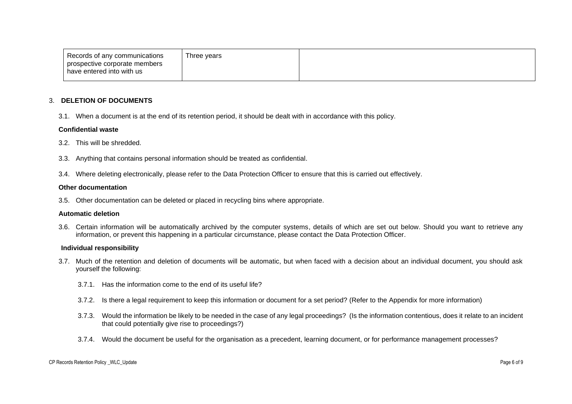| Records of any communications | Three vears |  |
|-------------------------------|-------------|--|
| prospective corporate members |             |  |
| have entered into with us     |             |  |

#### 3. **DELETION OF DOCUMENTS**

3.1. When a document is at the end of its retention period, it should be dealt with in accordance with this policy.

#### **Confidential waste**

- 3.2. This will be shredded.
- 3.3. Anything that contains personal information should be treated as confidential.
- 3.4. Where deleting electronically, please refer to the Data Protection Officer to ensure that this is carried out effectively.

#### **Other documentation**

3.5. Other documentation can be deleted or placed in recycling bins where appropriate.

#### **Automatic deletion**

3.6. Certain information will be automatically archived by the computer systems, details of which are set out below. Should you want to retrieve any information, or prevent this happening in a particular circumstance, please contact the Data Protection Officer.

#### **Individual responsibility**

- 3.7. Much of the retention and deletion of documents will be automatic, but when faced with a decision about an individual document, you should ask yourself the following:
	- 3.7.1. Has the information come to the end of its useful life?
	- 3.7.2. Is there a legal requirement to keep this information or document for a set period? (Refer to the Appendix for more information)
	- 3.7.3. Would the information be likely to be needed in the case of any legal proceedings? (Is the information contentious, does it relate to an incident that could potentially give rise to proceedings?)
	- 3.7.4. Would the document be useful for the organisation as a precedent, learning document, or for performance management processes?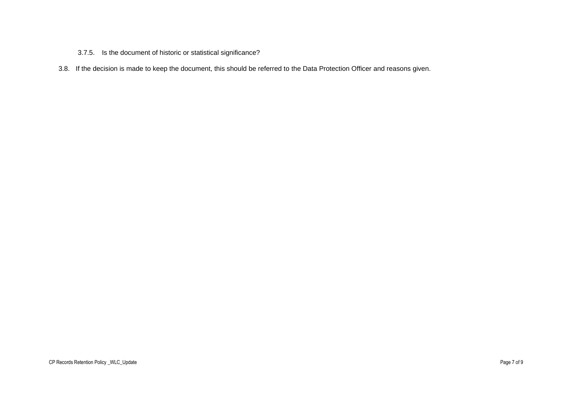## 3.7.5. Is the document of historic or statistical significance?

3.8. If the decision is made to keep the document, this should be referred to the Data Protection Officer and reasons given.